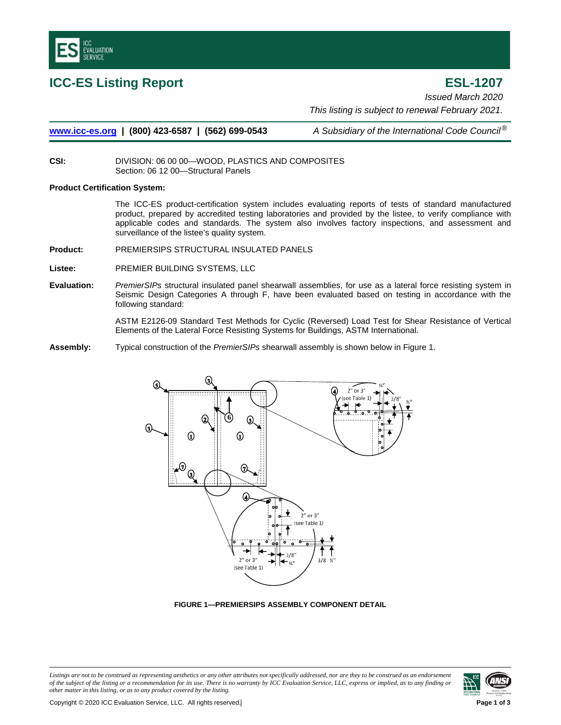

**ICC-ES Listing Report ESL-1207** *Issued March 2020 This listing is subject to renewal February 2021.*

**[www.icc-es.org](http://www.icc-es.org/) | (800) 423-6587 | (562) 699-0543** *A Subsidiary of the International Code Council*®

**CSI:** DIVISION: 06 00 00—WOOD, PLASTICS AND COMPOSITES Section: 06 12 00—Structural Panels

#### **Product Certification System:**

The ICC-ES product-certification system includes evaluating reports of tests of standard manufactured product, prepared by accredited testing laboratories and provided by the listee, to verify compliance with applicable codes and standards. The system also involves factory inspections, and assessment and surveillance of the listee's quality system.

**Product:** PREMIERSIPS STRUCTURAL INSULATED PANELS

**Listee:** PREMIER BUILDING SYSTEMS, LLC

**Evaluation:** *PremierSIPs* structural insulated panel shearwall assemblies, for use as a lateral force resisting system in Seismic Design Categories A through F, have been evaluated based on testing in accordance with the following standard:

> ASTM E2126-09 Standard Test Methods for Cyclic (Reversed) Load Test for Shear Resistance of Vertical Elements of the Lateral Force Resisting Systems for Buildings, ASTM International.

**Assembly:** Typical construction of the *PremierSIPs* shearwall assembly is shown below in Figure 1.



**FIGURE 1—PREMIERSIPS ASSEMBLY COMPONENT DETAIL**

*Listings are not to be construed as representing aesthetics or any other attributes not specifically addressed, nor are they to be construed as an endorsement of the subject of the listing or a recommendation for its use. There is no warranty by ICC Evaluation Service, LLC, express or implied, as to any finding or other matter in this listing, or as to any product covered by the listing.*

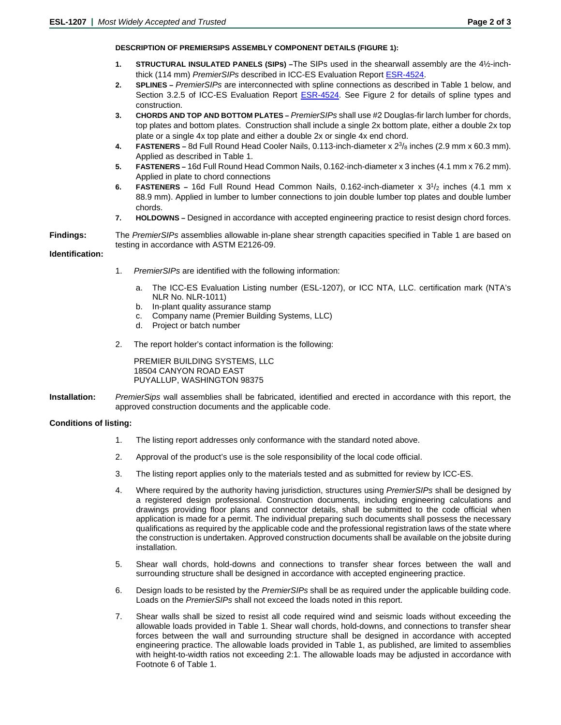## **DESCRIPTION OF PREMIERSIPS ASSEMBLY COMPONENT DETAILS (FIGURE 1):**

- **1. STRUCTURAL INSULATED PANELS (SIPs) –**The SIPs used in the shearwall assembly are the 4½-inchthick (114 mm) *PremierSIPs* described in ICC-ES Evaluation Report [ESR-4524.](https://icc-es.org/report-listing/esr-4524/)
- **2. SPLINES –** *PremierSIPs* are interconnected with spline connections as described in Table 1 below, and Section 3.2.5 of ICC-ES Evaluation Report **ESR-4524**. See Figure 2 for details of spline types and construction.
- **3. CHORDS AND TOP AND BOTTOM PLATES –** *PremierSIPs* shall use #2 Douglas-fir larch lumber for chords, top plates and bottom plates. Construction shall include a single 2x bottom plate, either a double 2x top plate or a single 4x top plate and either a double 2x or single 4x end chord.
- **4. FASTENERS –** 8d Full Round Head Cooler Nails, 0.113-inch-diameter x 23/8 inches (2.9 mm x 60.3 mm). Applied as described in Table 1.
- **5. FASTENERS –** 16d Full Round Head Common Nails, 0.162-inch-diameter x 3 inches (4.1 mm x 76.2 mm). Applied in plate to chord connections
- **6. FASTENERS** 16d Full Round Head Common Nails, 0.162-inch-diameter x 3<sup>1</sup>/<sub>2</sub> inches (4.1 mm x 88.9 mm). Applied in lumber to lumber connections to join double lumber top plates and double lumber chords.
- **7. HOLDOWNS –** Designed in accordance with accepted engineering practice to resist design chord forces.

**Findings:** The *PremierSIPs* assemblies allowable in-plane shear strength capacities specified in Table 1 are based on testing in accordance with ASTM E2126-09.

## **Identification:**

- 1. *PremierSIPs* are identified with the following information:
	- a. The ICC-ES Evaluation Listing number (ESL-1207), or ICC NTA, LLC. certification mark (NTA's NLR No. NLR-1011)
	- b. In-plant quality assurance stamp
	- c. Company name (Premier Building Systems, LLC)
	- d. Project or batch number
- 2. The report holder's contact information is the following:

PREMIER BUILDING SYSTEMS, LLC 18504 CANYON ROAD EAST PUYALLUP, WASHINGTON 98375

**Installation:** *PremierSips* wall assemblies shall be fabricated, identified and erected in accordance with this report, the approved construction documents and the applicable code.

# **Conditions of listing:**

- 1. The listing report addresses only conformance with the standard noted above.
- 2. Approval of the product's use is the sole responsibility of the local code official.
- 3. The listing report applies only to the materials tested and as submitted for review by ICC-ES.
- 4. Where required by the authority having jurisdiction, structures using *PremierSIPs* shall be designed by a registered design professional. Construction documents, including engineering calculations and drawings providing floor plans and connector details, shall be submitted to the code official when application is made for a permit. The individual preparing such documents shall possess the necessary qualifications as required by the applicable code and the professional registration laws of the state where the construction is undertaken. Approved construction documents shall be available on the jobsite during installation.
- 5. Shear wall chords, hold-downs and connections to transfer shear forces between the wall and surrounding structure shall be designed in accordance with accepted engineering practice.
- 6. Design loads to be resisted by the *PremierSIPs* shall be as required under the applicable building code. Loads on the *PremierSIPs* shall not exceed the loads noted in this report.
- 7. Shear walls shall be sized to resist all code required wind and seismic loads without exceeding the allowable loads provided in Table 1. Shear wall chords, hold-downs, and connections to transfer shear forces between the wall and surrounding structure shall be designed in accordance with accepted engineering practice. The allowable loads provided in Table 1, as published, are limited to assemblies with height-to-width ratios not exceeding 2:1. The allowable loads may be adjusted in accordance with Footnote 6 of Table 1.